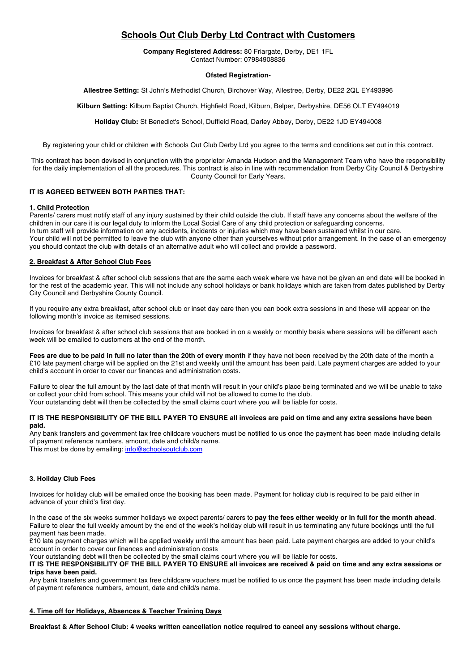# **Schools Out Club Derby Ltd Contract with Customers**

**Company Registered Address:** 80 Friargate, Derby, DE1 1FL Contact Number: 07984908836

# **Ofsted Registration-**

**Allestree Setting:** St John's Methodist Church, Birchover Way, Allestree, Derby, DE22 2QL EY493996

**Kilburn Setting:** Kilburn Baptist Church, Highfield Road, Kilburn, Belper, Derbyshire, DE56 OLT EY494019

**Holiday Club:** St Benedict's School, Duffield Road, Darley Abbey, Derby, DE22 1JD EY494008

By registering your child or children with Schools Out Club Derby Ltd you agree to the terms and conditions set out in this contract.

This contract has been devised in conjunction with the proprietor Amanda Hudson and the Management Team who have the responsibility for the daily implementation of all the procedures. This contract is also in line with recommendation from Derby City Council & Derbyshire County Council for Early Years.

# **IT IS AGREED BETWEEN BOTH PARTIES THAT:**

## **1. Child Protection**

Parents/ carers must notify staff of any injury sustained by their child outside the club. If staff have any concerns about the welfare of the children in our care it is our legal duty to inform the Local Social Care of any child protection or safeguarding concerns. In turn staff will provide information on any accidents, incidents or injuries which may have been sustained whilst in our care. Your child will not be permitted to leave the club with anyone other than yourselves without prior arrangement. In the case of an emergency you should contact the club with details of an alternative adult who will collect and provide a password.

# **2. Breakfast & After School Club Fees**

Invoices for breakfast & after school club sessions that are the same each week where we have not be given an end date will be booked in for the rest of the academic year. This will not include any school holidays or bank holidays which are taken from dates published by Derby City Council and Derbyshire County Council.

If you require any extra breakfast, after school club or inset day care then you can book extra sessions in and these will appear on the following month's invoice as itemised sessions.

Invoices for breakfast & after school club sessions that are booked in on a weekly or monthly basis where sessions will be different each week will be emailed to customers at the end of the month.

**Fees are due to be paid in full no later than the 20th of every month** if they have not been received by the 20th date of the month a £10 late payment charge will be applied on the 21st and weekly until the amount has been paid. Late payment charges are added to your child's account in order to cover our finances and administration costs.

Failure to clear the full amount by the last date of that month will result in your child's place being terminated and we will be unable to take or collect your child from school. This means your child will not be allowed to come to the club. Your outstanding debt will then be collected by the small claims court where you will be liable for costs.

#### **IT IS THE RESPONSIBILITY OF THE BILL PAYER TO ENSURE all invoices are paid on time and any extra sessions have been paid.**

Any bank transfers and government tax free childcare vouchers must be notified to us once the payment has been made including details of payment reference numbers, amount, date and child/s name.

This must be done by emailing: info@schoolsoutclub.com

# **3. Holiday Club Fees**

Invoices for holiday club will be emailed once the booking has been made. Payment for holiday club is required to be paid either in advance of your child's first day.

In the case of the six weeks summer holidays we expect parents/ carers to **pay the fees either weekly or in full for the month ahead**. Failure to clear the full weekly amount by the end of the week's holiday club will result in us terminating any future bookings until the full payment has been made.

£10 late payment charges which will be applied weekly until the amount has been paid. Late payment charges are added to your child's account in order to cover our finances and administration costs

Your outstanding debt will then be collected by the small claims court where you will be liable for costs.

**IT IS THE RESPONSIBILITY OF THE BILL PAYER TO ENSURE all invoices are received & paid on time and any extra sessions or trips have been paid.**

Any bank transfers and government tax free childcare vouchers must be notified to us once the payment has been made including details of payment reference numbers, amount, date and child/s name.

## **4. Time off for Holidays, Absences & Teacher Training Days**

**Breakfast & After School Club: 4 weeks written cancellation notice required to cancel any sessions without charge.**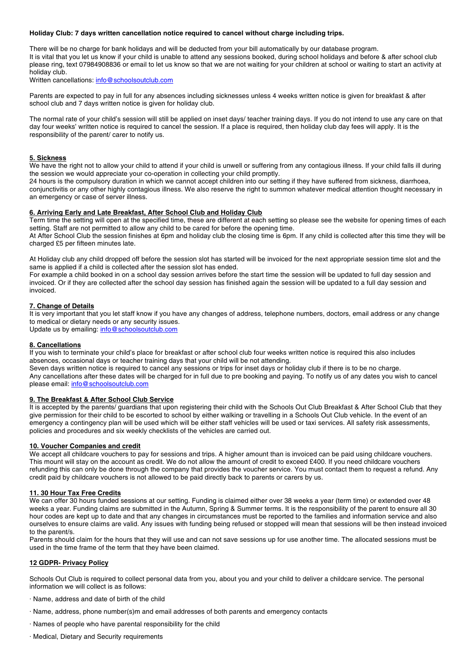## **Holiday Club: 7 days written cancellation notice required to cancel without charge including trips.**

There will be no charge for bank holidays and will be deducted from your bill automatically by our database program. It is vital that you let us know if your child is unable to attend any sessions booked, during school holidays and before & after school club please ring, text 07984908836 or email to let us know so that we are not waiting for your children at school or waiting to start an activity at holiday club.

Written cancellations: info@schoolsoutclub.com

Parents are expected to pay in full for any absences including sicknesses unless 4 weeks written notice is given for breakfast & after school club and 7 days written notice is given for holiday club.

The normal rate of your child's session will still be applied on inset days/ teacher training days. If you do not intend to use any care on that day four weeks' written notice is required to cancel the session. If a place is required, then holiday club day fees will apply. It is the responsibility of the parent/ carer to notify us.

## **5. Sickness**

We have the right not to allow your child to attend if your child is unwell or suffering from any contagious illness. If your child falls ill during the session we would appreciate your co-operation in collecting your child promptly.

24 hours is the compulsory duration in which we cannot accept children into our setting if they have suffered from sickness, diarrhoea, conjunctivitis or any other highly contagious illness. We also reserve the right to summon whatever medical attention thought necessary in an emergency or case of server illness.

## **6. Arriving Early and Late Breakfast, After School Club and Holiday Club**

Term time the setting will open at the specified time, these are different at each setting so please see the website for opening times of each setting. Staff are not permitted to allow any child to be cared for before the opening time.

At After School Club the session finishes at 6pm and holiday club the closing time is 6pm. If any child is collected after this time they will be charged £5 per fifteen minutes late.

At Holiday club any child dropped off before the session slot has started will be invoiced for the next appropriate session time slot and the same is applied if a child is collected after the session slot has ended.

For example a child booked in on a school day session arrives before the start time the session will be updated to full day session and invoiced. Or if they are collected after the school day session has finished again the session will be updated to a full day session and invoiced.

# **7. Change of Details**

It is very important that you let staff know if you have any changes of address, telephone numbers, doctors, email address or any change to medical or dietary needs or any security issues.

Update us by emailing: info@schoolsoutclub.com

## **8. Cancellations**

If you wish to terminate your child's place for breakfast or after school club four weeks written notice is required this also includes absences, occasional days or teacher training days that your child will be not attending.

Seven days written notice is required to cancel any sessions or trips for inset days or holiday club if there is to be no charge. Any cancellations after these dates will be charged for in full due to pre booking and paying. To notify us of any dates you wish to cancel please email: info@schoolsoutclub.com

## **9. The Breakfast & After School Club Service**

It is accepted by the parents/ guardians that upon registering their child with the Schools Out Club Breakfast & After School Club that they give permission for their child to be escorted to school by either walking or travelling in a Schools Out Club vehicle. In the event of an emergency a contingency plan will be used which will be either staff vehicles will be used or taxi services. All safety risk assessments, policies and procedures and six weekly checklists of the vehicles are carried out.

## **10. Voucher Companies and credit**

We accept all childcare vouchers to pay for sessions and trips. A higher amount than is invoiced can be paid using childcare vouchers. This mount will stay on the account as credit. We do not allow the amount of credit to exceed £400. If you need childcare vouchers refunding this can only be done through the company that provides the voucher service. You must contact them to request a refund. Any credit paid by childcare vouchers is not allowed to be paid directly back to parents or carers by us.

# **11. 30 Hour Tax Free Credits**

We can offer 30 hours funded sessions at our setting. Funding is claimed either over 38 weeks a year (term time) or extended over 48 weeks a year. Funding claims are submitted in the Autumn, Spring & Summer terms. It is the responsibility of the parent to ensure all 30 hour codes are kept up to date and that any changes in circumstances must be reported to the families and information service and also ourselves to ensure claims are valid. Any issues with funding being refused or stopped will mean that sessions will be then instead invoiced to the parent/s.

Parents should claim for the hours that they will use and can not save sessions up for use another time. The allocated sessions must be used in the time frame of the term that they have been claimed.

## **12 GDPR- Privacy Policy**

Schools Out Club is required to collect personal data from you, about you and your child to deliver a childcare service. The personal information we will collect is as follows:

- · Name, address and date of birth of the child
- · Name, address, phone number(s)m and email addresses of both parents and emergency contacts
- · Names of people who have parental responsibility for the child
- · Medical, Dietary and Security requirements